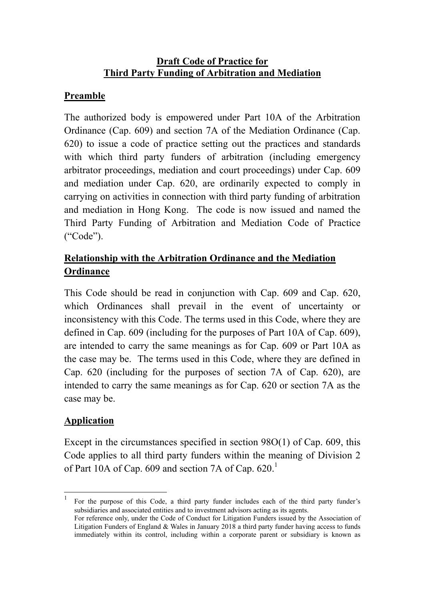## **Draft Code of Practice for Third Party Funding of Arbitration and Mediation**

## **Preamble**

The authorized body is empowered under Part 10A of the Arbitration Ordinance (Cap. 609) and section 7A of the Mediation Ordinance (Cap. 620) to issue a code of practice setting out the practices and standards with which third party funders of arbitration (including emergency arbitrator proceedings, mediation and court proceedings) under Cap. 609 and mediation under Cap. 620, are ordinarily expected to comply in carrying on activities in connection with third party funding of arbitration and mediation in Hong Kong. The code is now issued and named the Third Party Funding of Arbitration and Mediation Code of Practice ("Code").

# **Relationship with the Arbitration Ordinance and the Mediation Ordinance**

This Code should be read in conjunction with Cap. 609 and Cap. 620, which Ordinances shall prevail in the event of uncertainty or inconsistency with this Code. The terms used in this Code, where they are defined in Cap. 609 (including for the purposes of Part 10A of Cap. 609), are intended to carry the same meanings as for Cap. 609 or Part 10A as the case may be. The terms used in this Code, where they are defined in Cap. 620 (including for the purposes of section 7A of Cap. 620), are intended to carry the same meanings as for Cap. 620 or section 7A as the case may be.

## **Application**

<u>.</u> 1

Except in the circumstances specified in section 98O(1) of Cap. 609, this Code applies to all third party funders within the meaning of Division 2 of Part 10A of Cap. 609 and section 7A of Cap.  $620$ .<sup>1</sup>

For the purpose of this Code, a third party funder includes each of the third party funder's subsidiaries and associated entities and to investment advisors acting as its agents.

For reference only, under the Code of Conduct for Litigation Funders issued by the Association of Litigation Funders of England & Wales in January 2018 a third party funder having access to funds immediately within its control, including within a corporate parent or subsidiary is known as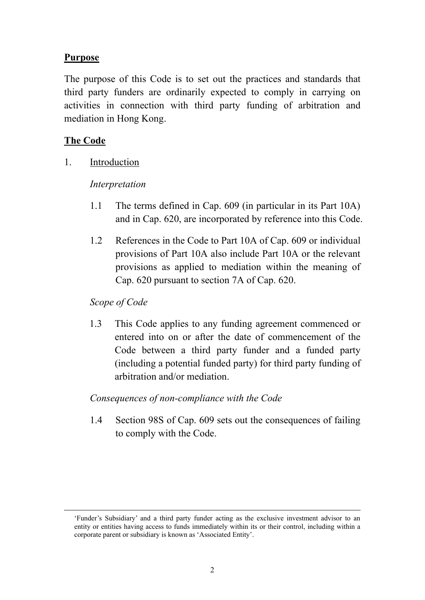### **Purpose**

The purpose of this Code is to set out the practices and standards that third party funders are ordinarily expected to comply in carrying on activities in connection with third party funding of arbitration and mediation in Hong Kong.

### **The Code**

<u>.</u>

1. Introduction

### *Interpretation*

- 1.1 The terms defined in Cap. 609 (in particular in its Part 10A) and in Cap. 620, are incorporated by reference into this Code.
- 1.2 References in the Code to Part 10A of Cap. 609 or individual provisions of Part 10A also include Part 10A or the relevant provisions as applied to mediation within the meaning of Cap. 620 pursuant to section 7A of Cap. 620.

### *Scope of Code*

1.3 This Code applies to any funding agreement commenced or entered into on or after the date of commencement of the Code between a third party funder and a funded party (including a potential funded party) for third party funding of arbitration and/or mediation.

#### *Consequences of non-compliance with the Code*

1.4 Section 98S of Cap. 609 sets out the consequences of failing to comply with the Code.

<sup>&#</sup>x27;Funder's Subsidiary' and a third party funder acting as the exclusive investment advisor to an entity or entities having access to funds immediately within its or their control, including within a corporate parent or subsidiary is known as 'Associated Entity'.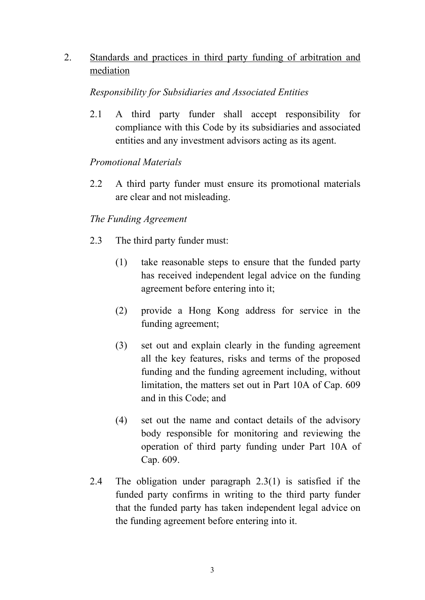2. Standards and practices in third party funding of arbitration and mediation

### *Responsibility for Subsidiaries and Associated Entities*

2.1 A third party funder shall accept responsibility for compliance with this Code by its subsidiaries and associated entities and any investment advisors acting as its agent.

## *Promotional Materials*

2.2 A third party funder must ensure its promotional materials are clear and not misleading.

## *The Funding Agreement*

- 2.3 The third party funder must:
	- (1) take reasonable steps to ensure that the funded party has received independent legal advice on the funding agreement before entering into it;
	- (2) provide a Hong Kong address for service in the funding agreement;
	- (3) set out and explain clearly in the funding agreement all the key features, risks and terms of the proposed funding and the funding agreement including, without limitation, the matters set out in Part 10A of Cap. 609 and in this Code; and
	- (4) set out the name and contact details of the advisory body responsible for monitoring and reviewing the operation of third party funding under Part 10A of Cap. 609.
- 2.4 The obligation under paragraph 2.3(1) is satisfied if the funded party confirms in writing to the third party funder that the funded party has taken independent legal advice on the funding agreement before entering into it.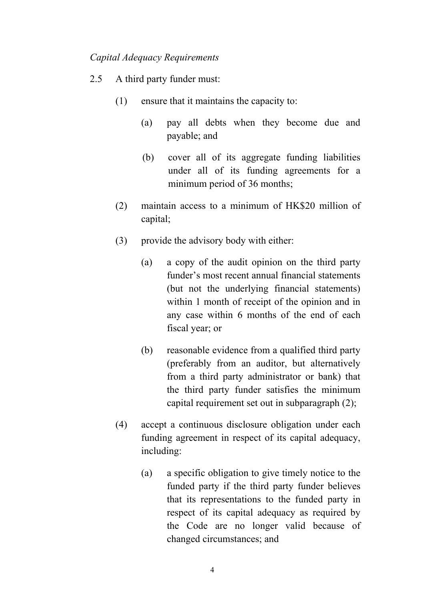#### *Capital Adequacy Requirements*

- 2.5 A third party funder must:
	- (1) ensure that it maintains the capacity to:
		- (a) pay all debts when they become due and payable; and
		- (b) cover all of its aggregate funding liabilities under all of its funding agreements for a minimum period of 36 months;
	- (2) maintain access to a minimum of HK\$20 million of capital;
	- (3) provide the advisory body with either:
		- (a) a copy of the audit opinion on the third party funder's most recent annual financial statements (but not the underlying financial statements) within 1 month of receipt of the opinion and in any case within 6 months of the end of each fiscal year; or
		- (b) reasonable evidence from a qualified third party (preferably from an auditor, but alternatively from a third party administrator or bank) that the third party funder satisfies the minimum capital requirement set out in subparagraph (2);
	- (4) accept a continuous disclosure obligation under each funding agreement in respect of its capital adequacy, including:
		- (a) a specific obligation to give timely notice to the funded party if the third party funder believes that its representations to the funded party in respect of its capital adequacy as required by the Code are no longer valid because of changed circumstances; and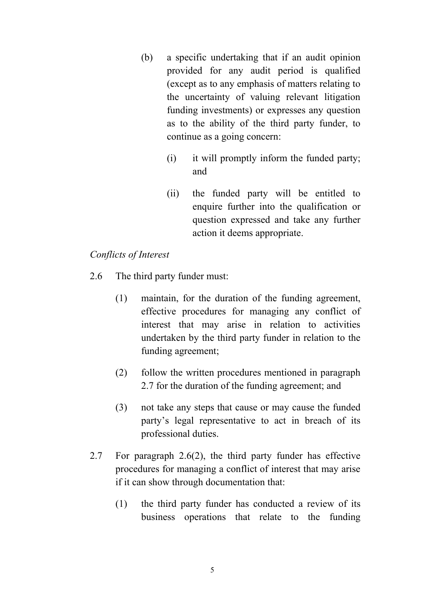- (b) a specific undertaking that if an audit opinion provided for any audit period is qualified (except as to any emphasis of matters relating to the uncertainty of valuing relevant litigation funding investments) or expresses any question as to the ability of the third party funder, to continue as a going concern:
	- (i) it will promptly inform the funded party; and
	- (ii) the funded party will be entitled to enquire further into the qualification or question expressed and take any further action it deems appropriate.

### *Conflicts of Interest*

- 2.6 The third party funder must:
	- (1) maintain, for the duration of the funding agreement, effective procedures for managing any conflict of interest that may arise in relation to activities undertaken by the third party funder in relation to the funding agreement;
	- (2) follow the written procedures mentioned in paragraph 2.7 for the duration of the funding agreement; and
	- (3) not take any steps that cause or may cause the funded party's legal representative to act in breach of its professional duties.
- 2.7 For paragraph 2.6(2), the third party funder has effective procedures for managing a conflict of interest that may arise if it can show through documentation that:
	- (1) the third party funder has conducted a review of its business operations that relate to the funding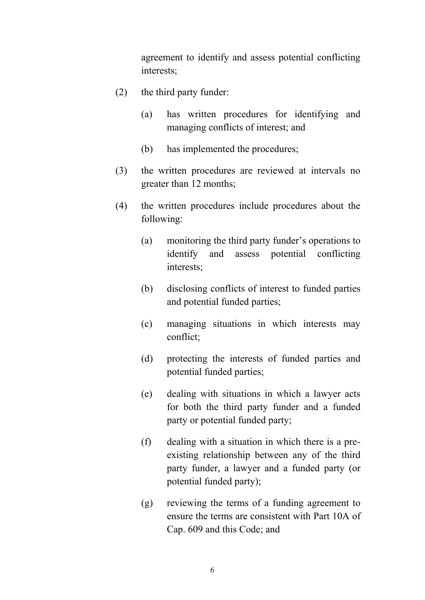agreement to identify and assess potential conflicting interests;

- (2) the third party funder:
	- (a) has written procedures for identifying and managing conflicts of interest; and
	- (b) has implemented the procedures;
- (3) the written procedures are reviewed at intervals no greater than 12 months;
- (4) the written procedures include procedures about the following:
	- (a) monitoring the third party funder's operations to identify and assess potential conflicting interests;
	- (b) disclosing conflicts of interest to funded parties and potential funded parties;
	- (c) managing situations in which interests may conflict;
	- (d) protecting the interests of funded parties and potential funded parties;
	- (e) dealing with situations in which a lawyer acts for both the third party funder and a funded party or potential funded party;
	- (f) dealing with a situation in which there is a preexisting relationship between any of the third party funder, a lawyer and a funded party (or potential funded party);
	- (g) reviewing the terms of a funding agreement to ensure the terms are consistent with Part 10A of Cap. 609 and this Code; and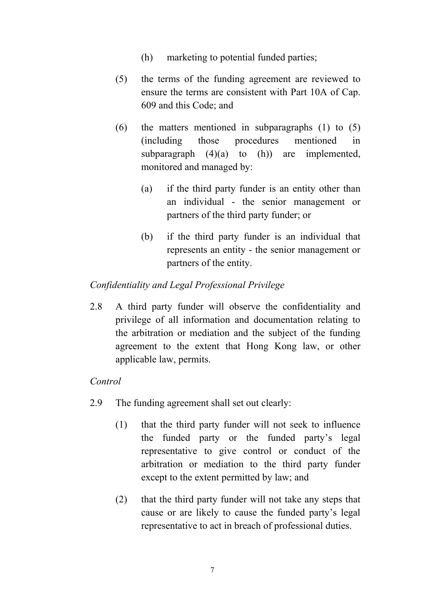- (h) marketing to potential funded parties;
- (5) the terms of the funding agreement are reviewed to ensure the terms are consistent with Part 10A of Cap. 609 and this Code; and
- (6) the matters mentioned in subparagraphs (1) to (5) (including those procedures mentioned in subparagraph  $(4)(a)$  to  $(h)$  are implemented, monitored and managed by:
	- (a) if the third party funder is an entity other than an individual - the senior management or partners of the third party funder; or
	- (b) if the third party funder is an individual that represents an entity - the senior management or partners of the entity.

## *Confidentiality and Legal Professional Privilege*

2.8 A third party funder will observe the confidentiality and privilege of all information and documentation relating to the arbitration or mediation and the subject of the funding agreement to the extent that Hong Kong law, or other applicable law, permits.

## *Control*

- 2.9 The funding agreement shall set out clearly:
	- (1) that the third party funder will not seek to influence the funded party or the funded party's legal representative to give control or conduct of the arbitration or mediation to the third party funder except to the extent permitted by law; and
	- (2) that the third party funder will not take any steps that cause or are likely to cause the funded party's legal representative to act in breach of professional duties.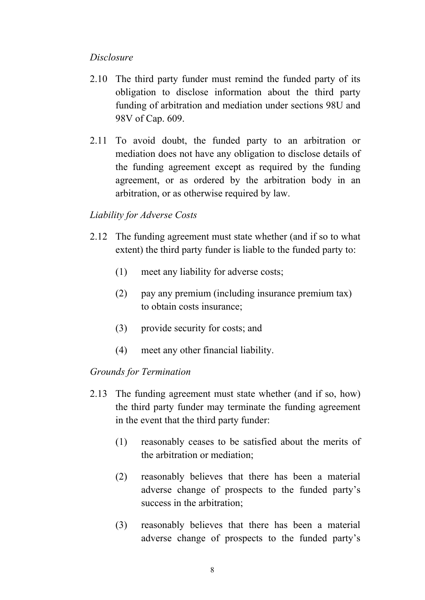### *Disclosure*

- 2.10 The third party funder must remind the funded party of its obligation to disclose information about the third party funding of arbitration and mediation under sections 98U and 98V of Cap. 609.
- 2.11 To avoid doubt, the funded party to an arbitration or mediation does not have any obligation to disclose details of the funding agreement except as required by the funding agreement, or as ordered by the arbitration body in an arbitration, or as otherwise required by law.

### *Liability for Adverse Costs*

- 2.12 The funding agreement must state whether (and if so to what extent) the third party funder is liable to the funded party to:
	- (1) meet any liability for adverse costs;
	- (2) pay any premium (including insurance premium tax) to obtain costs insurance;
	- (3) provide security for costs; and
	- (4) meet any other financial liability.

#### *Grounds for Termination*

- 2.13 The funding agreement must state whether (and if so, how) the third party funder may terminate the funding agreement in the event that the third party funder:
	- (1) reasonably ceases to be satisfied about the merits of the arbitration or mediation;
	- (2) reasonably believes that there has been a material adverse change of prospects to the funded party's success in the arbitration;
	- (3) reasonably believes that there has been a material adverse change of prospects to the funded party's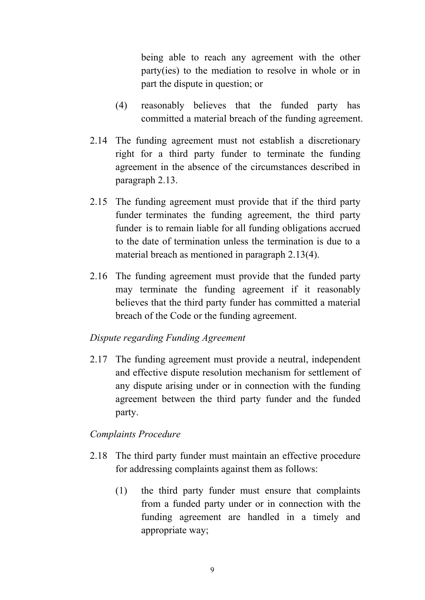being able to reach any agreement with the other party(ies) to the mediation to resolve in whole or in part the dispute in question; or

- (4) reasonably believes that the funded party has committed a material breach of the funding agreement.
- 2.14 The funding agreement must not establish a discretionary right for a third party funder to terminate the funding agreement in the absence of the circumstances described in paragraph 2.13.
- 2.15 The funding agreement must provide that if the third party funder terminates the funding agreement, the third party funder is to remain liable for all funding obligations accrued to the date of termination unless the termination is due to a material breach as mentioned in paragraph 2.13(4).
- 2.16 The funding agreement must provide that the funded party may terminate the funding agreement if it reasonably believes that the third party funder has committed a material breach of the Code or the funding agreement.

#### *Dispute regarding Funding Agreement*

2.17 The funding agreement must provide a neutral, independent and effective dispute resolution mechanism for settlement of any dispute arising under or in connection with the funding agreement between the third party funder and the funded party.

#### *Complaints Procedure*

- 2.18 The third party funder must maintain an effective procedure for addressing complaints against them as follows:
	- (1) the third party funder must ensure that complaints from a funded party under or in connection with the funding agreement are handled in a timely and appropriate way;